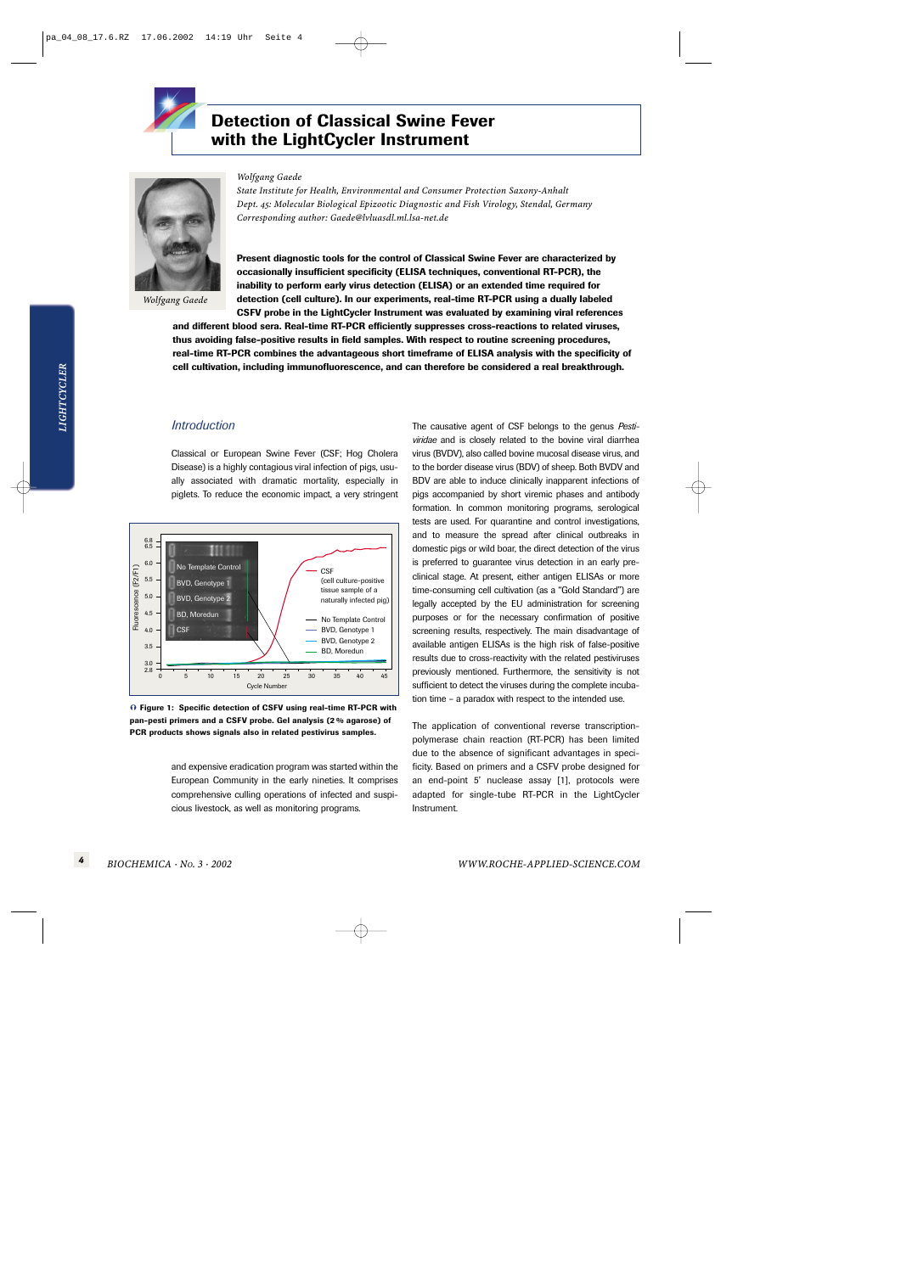

# **Detection of Classical Swine Fever with the LightCycler Instrument**



*Wolfgang Gaede*

#### *Wolfgang Gaede*

*State Institute for Health, Environmental and Consumer Protection Saxony-Anhalt Dept. 45: Molecular Biological Epizootic Diagnostic and Fish Virology, Stendal, Germany Corresponding author: Gaede@lvluasdl.ml.lsa-net.de*

**Present diagnostic tools for the control of Classical Swine Fever are characterized by occasionally insufficient specificity (ELISA techniques, conventional RT-PCR), the inability to perform early virus detection (ELISA) or an extended time required for detection (cell culture). In our experiments, real-time RT-PCR using a dually labeled CSFV probe in the LightCycler Instrument was evaluated by examining viral references**

**and different blood sera. Real-time RT-PCR efficiently suppresses cross-reactions to related viruses, thus avoiding false-positive results in field samples. With respect to routine screening procedures, real-time RT-PCR combines the advantageous short timeframe of ELISA analysis with the specificity of cell cultivation, including immunofluorescence, and can therefore be considered a real breakthrough.** 

# *Introduction*

Classical or European Swine Fever (CSF; Hog Cholera Disease) is a highly contagious viral infection of pigs, usually associated with dramatic mortality, especially in piglets. To reduce the economic impact, a very stringent



<sup>-</sup> **Figure 1: Specific detection of CSFV using real-time RT-PCR with pan-pesti primers and a CSFV probe. Gel analysis (2 % agarose) of PCR products shows signals also in related pestivirus samples.**

and expensive eradication program was started within the European Community in the early nineties. It comprises comprehensive culling operations of infected and suspicious livestock, as well as monitoring programs.

The causative agent of CSF belongs to the genus *Pestiviridae* and is closely related to the bovine viral diarrhea virus (BVDV), also called bovine mucosal disease virus, and to the border disease virus (BDV) of sheep. Both BVDV and BDV are able to induce clinically inapparent infections of pigs accompanied by short viremic phases and antibody formation. In common monitoring programs, serological tests are used. For quarantine and control investigations, and to measure the spread after clinical outbreaks in domestic pigs or wild boar, the direct detection of the virus is preferred to guarantee virus detection in an early preclinical stage. At present, either antigen ELISAs or more time-consuming cell cultivation (as a "Gold Standard") are legally accepted by the EU administration for screening purposes or for the necessary confirmation of positive screening results, respectively. The main disadvantage of available antigen ELISAs is the high risk of false-positive results due to cross-reactivity with the related pestiviruses previously mentioned. Furthermore, the sensitivity is not sufficient to detect the viruses during the complete incubation time – a paradox with respect to the intended use.

The application of conventional reverse transcriptionpolymerase chain reaction (RT-PCR) has been limited due to the absence of significant advantages in specificity. Based on primers and a CSFV probe designed for an end-point 5' nuclease assay [1], protocols were adapted for single-tube RT-PCR in the LightCycler Instrument.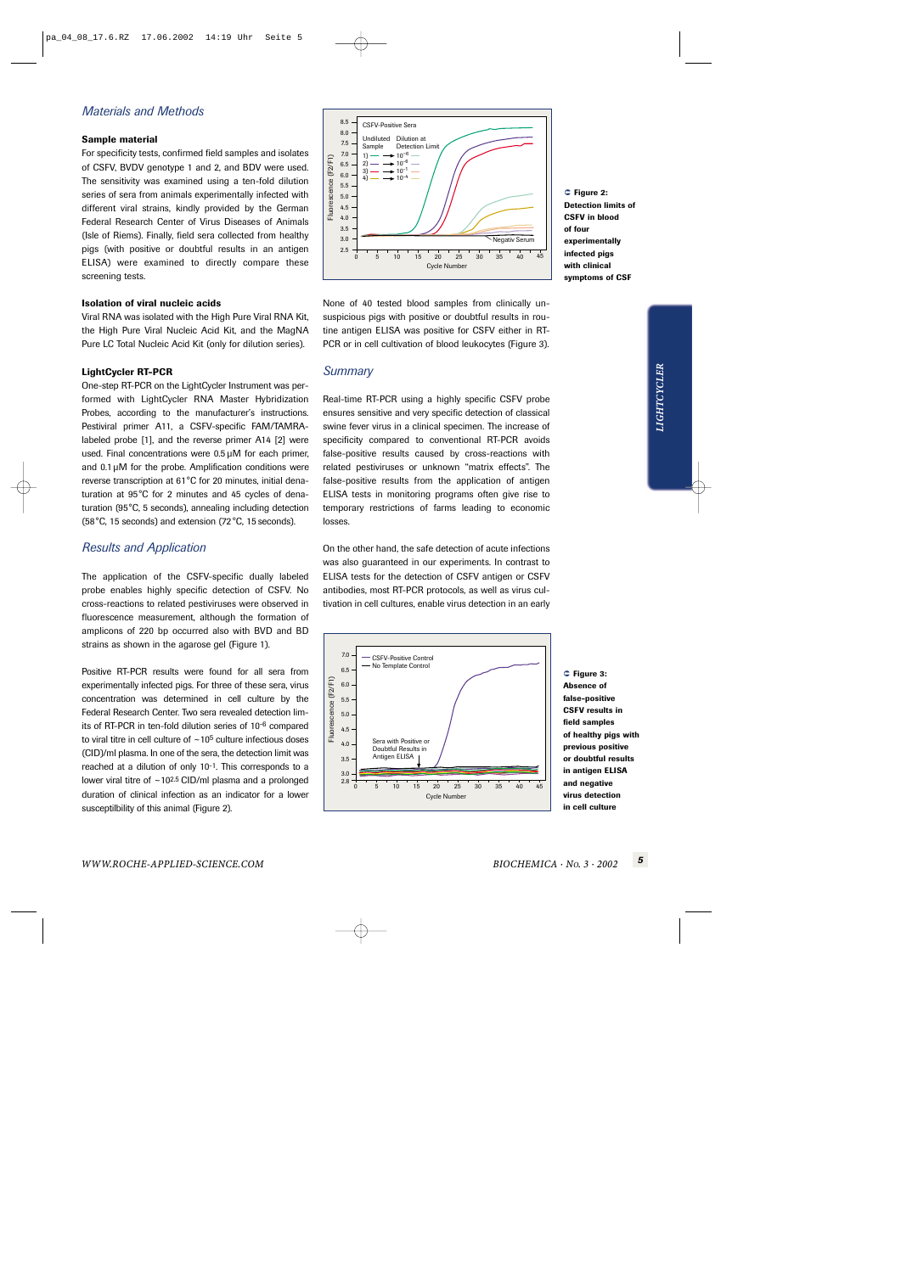# *Materials and Methods*

## **Sample material**

For specificity tests, confirmed field samples and isolates of CSFV, BVDV genotype 1 and 2, and BDV were used. The sensitivity was examined using a ten-fold dilution series of sera from animals experimentally infected with different viral strains, kindly provided by the German Federal Research Center of Virus Diseases of Animals (Isle of Riems). Finally, field sera collected from healthy pigs (with positive or doubtful results in an antigen ELISA) were examined to directly compare these screening tests.

#### **Isolation of viral nucleic acids**

Viral RNA was isolated with the High Pure Viral RNA Kit, the High Pure Viral Nucleic Acid Kit, and the MagNA Pure LC Total Nucleic Acid Kit (only for dilution series).

### **LightCycler RT-PCR**

One-step RT-PCR on the LightCycler Instrument was performed with LightCycler RNA Master Hybridization Probes, according to the manufacturer's instructions. Pestiviral primer A11, a CSFV-specific FAM/TAMRAlabeled probe [1], and the reverse primer A14 [2] were used. Final concentrations were 0.5 µM for each primer, and 0.1 µM for the probe. Amplification conditions were reverse transcription at 61°C for 20 minutes, initial denaturation at 95°C for 2 minutes and 45 cycles of denaturation (95°C, 5 seconds), annealing including detection (58°C, 15 seconds) and extension (72 °C, 15 seconds).

# *Results and Application*

The application of the CSFV-specific dually labeled probe enables highly specific detection of CSFV. No cross-reactions to related pestiviruses were observed in fluorescence measurement, although the formation of amplicons of 220 bp occurred also with BVD and BD strains as shown in the agarose gel (Figure 1).

Positive RT-PCR results were found for all sera from experimentally infected pigs. For three of these sera, virus concentration was determined in cell culture by the Federal Research Center. Two sera revealed detection limits of RT-PCR in ten-fold dilution series of 10-6 compared to viral titre in cell culture of  $\sim$  10<sup>5</sup> culture infectious doses (CID)/ml plasma. In one of the sera, the detection limit was reached at a dilution of only 10-1. This corresponds to a lower viral titre of  $\sim$  10<sup>2.5</sup> CID/ml plasma and a prolonged duration of clinical infection as an indicator for a lower susceptilbility of this animal (Figure 2).



None of 40 tested blood samples from clinically unsuspicious pigs with positive or doubtful results in routine antigen ELISA was positive for CSFV either in RT-PCR or in cell cultivation of blood leukocytes (Figure 3).

## *Summary*

Real-time RT-PCR using a highly specific CSFV probe ensures sensitive and very specific detection of classical swine fever virus in a clinical specimen. The increase of specificity compared to conventional RT-PCR avoids false-positive results caused by cross-reactions with related pestiviruses or unknown "matrix effects". The false-positive results from the application of antigen ELISA tests in monitoring programs often give rise to temporary restrictions of farms leading to economic losses.

On the other hand, the safe detection of acute infections was also guaranteed in our experiments. In contrast to ELISA tests for the detection of CSFV antigen or CSFV antibodies, most RT-PCR protocols, as well as virus cultivation in cell cultures, enable virus detection in an early



 **Figure 3: Absence of false-positive CSFV results in field samples of healthy pigs with previous positive or doubtful results in antigen ELISA and negative virus detection in cell culture**